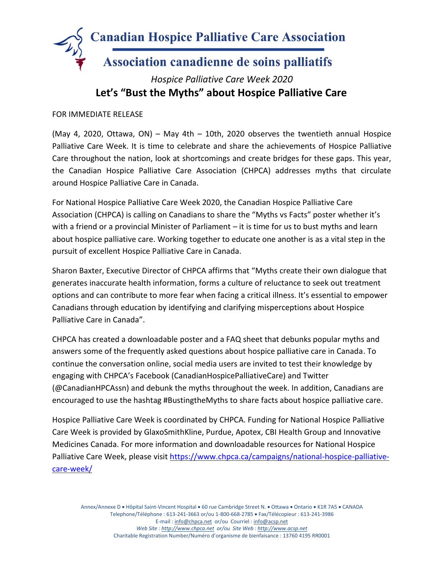

## *Hospice Palliative Care Week 2020* **Let's "Bust the Myths" about Hospice Palliative Care**

## FOR IMMEDIATE RELEASE

(May 4, 2020, Ottawa, ON) – May 4th – 10th, 2020 observes the twentieth annual Hospice Palliative Care Week. It is time to celebrate and share the achievements of Hospice Palliative Care throughout the nation, look at shortcomings and create bridges for these gaps. This year, the Canadian Hospice Palliative Care Association (CHPCA) addresses myths that circulate around Hospice Palliative Care in Canada.

For National Hospice Palliative Care Week 2020, the Canadian Hospice Palliative Care Association (CHPCA) is calling on Canadians to share the "Myths vs Facts" poster whether it's with a friend or a provincial Minister of Parliament – it is time for us to bust myths and learn about hospice palliative care. Working together to educate one another is as a vital step in the pursuit of excellent Hospice Palliative Care in Canada.

Sharon Baxter, Executive Director of CHPCA affirms that "Myths create their own dialogue that generates inaccurate health information, forms a culture of reluctance to seek out treatment options and can contribute to more fear when facing a critical illness. It's essential to empower Canadians through education by identifying and clarifying misperceptions about Hospice Palliative Care in Canada".

CHPCA has created a downloadable poster and a FAQ sheet that debunks popular myths and answers some of the frequently asked questions about hospice palliative care in Canada. To continue the conversation online, social media users are invited to test their knowledge by engaging with CHPCA's Facebook (CanadianHospicePalliativeCare) and Twitter (@CanadianHPCAssn) and debunk the myths throughout the week. In addition, Canadians are encouraged to use the hashtag #BustingtheMyths to share facts about hospice palliative care.

Hospice Palliative Care Week is coordinated by CHPCA. Funding for National Hospice Palliative Care Week is provided by GlaxoSmithKline, Purdue, Apotex, CBI Health Group and Innovative Medicines Canada. For more information and downloadable resources for National Hospice Palliative Care Week, please visit [https://www.chpca.ca/campaigns/national-hospice-palliative](https://www.chpca.ca/campaigns/national-hospice-palliative-care-week/)[care-week/](https://www.chpca.ca/campaigns/national-hospice-palliative-care-week/)

Annex/Annexe D · Hôpital Saint-Vincent Hospital · 60 rue Cambridge Street N. · Ottawa · Ontario · K1R 7A5 · CANADA Telephone/Téléphone : 613-241-3663 or/ou 1-800-668-2785 Fax/Télécopieur : 613-241-3986 E-mail : info@chpca.net or/ou Courriel : info@acsp.net *Web Site : http://www.chpca.net or/ou Site Web : http://www.acsp.net* Charitable Registration Number/Numéro d'organisme de bienfaisance : 13760 4195 RR0001